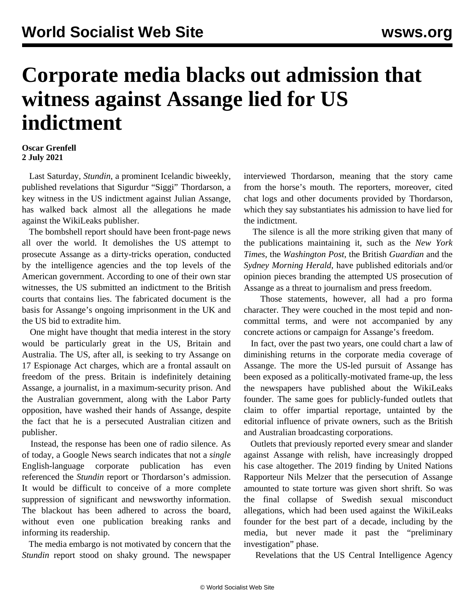## **Corporate media blacks out admission that witness against Assange lied for US indictment**

## **Oscar Grenfell 2 July 2021**

 Last Saturday, *Stundin*, a prominent Icelandic biweekly, published revelations that Sigurdur "Siggi" Thordarson, a key witness in the US indictment against Julian Assange, has walked back almost all the allegations he made against the WikiLeaks publisher.

 The bombshell report should have been front-page news all over the world. It demolishes the US attempt to prosecute Assange as a dirty-tricks operation, conducted by the intelligence agencies and the top levels of the American government. According to one of their own star witnesses, the US submitted an indictment to the British courts that contains lies. The fabricated document is the basis for Assange's ongoing imprisonment in the UK and the US bid to extradite him.

 One might have thought that media interest in the story would be particularly great in the US, Britain and Australia. The US, after all, is seeking to try Assange on 17 Espionage Act charges, which are a frontal assault on freedom of the press. Britain is indefinitely detaining Assange, a journalist, in a maximum-security prison. And the Australian government, along with the Labor Party opposition, have washed their hands of Assange, despite the fact that he is a persecuted Australian citizen and publisher.

 Instead, the response has been one of radio silence. As of today, a Google News search indicates that not a *single* English-language corporate publication has even referenced the *Stundin* report or Thordarson's admission. It would be difficult to conceive of a more complete suppression of significant and newsworthy information. The blackout has been adhered to across the board, without even one publication breaking ranks and informing its readership.

 The media embargo is not motivated by concern that the *Stundin* report stood on shaky ground. The newspaper interviewed Thordarson, meaning that the story came from the horse's mouth. The reporters, moreover, cited chat logs and other documents provided by Thordarson, which they say substantiates his admission to have lied for the indictment.

 The silence is all the more striking given that many of the publications maintaining it, such as the *New York Times*, the *Washington Post*, the British *Guardian* and the *Sydney Morning Herald*, have published editorials and/or opinion pieces branding the attempted US prosecution of Assange as a threat to journalism and press freedom.

 Those statements, however, all had a pro forma character. They were couched in the most tepid and noncommittal terms, and were not accompanied by any concrete actions or campaign for Assange's freedom.

 In fact, over the past two years, one could chart a law of diminishing returns in the corporate media coverage of Assange. The more the US-led pursuit of Assange has been exposed as a politically-motivated frame-up, the less the newspapers have published about the WikiLeaks founder. The same goes for publicly-funded outlets that claim to offer impartial reportage, untainted by the editorial influence of private owners, such as the British and Australian broadcasting corporations.

 Outlets that previously reported every smear and slander against Assange with relish, have increasingly dropped his case altogether. The 2019 finding by United Nations Rapporteur Nils Melzer that the persecution of Assange amounted to state torture was given short shrift. So was the final collapse of Swedish sexual misconduct allegations, which had been used against the WikiLeaks founder for the best part of a decade, including by the media, but never made it past the "preliminary investigation" phase.

Revelations that the US Central Intelligence Agency